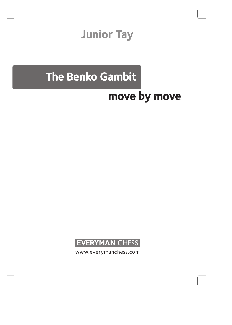# Junior Tay

# The Benko Gambit

# move by move



www.everymanchess.com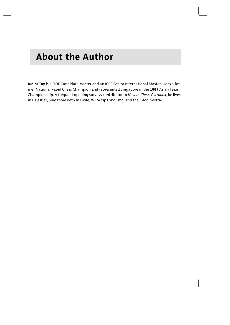# **About the Author**

**Junior Tay** is a FIDE Candidate Master and an ICCF Senior International Master. He is a former National Rapid Chess Champion and represented Singapore in the 1995 Asian Team Championship. A frequent opening surveys contributor to *New In Chess Yearbook*, he lives in Balestier, Singapore with his wife, WFM Yip Fong Ling, and their dog, Scottie.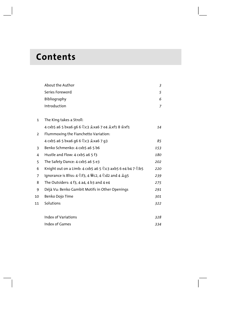# **Contents**

|                | About the Author                                         | $\mathfrak z$  |
|----------------|----------------------------------------------------------|----------------|
|                | Series Foreword                                          | 5              |
|                | Bibliography                                             | 6              |
|                | Introduction                                             | $\overline{7}$ |
| $\mathbf{1}$   | The King takes a Stroll:                                 |                |
|                | 4 cxb5 a6 5 bxa6 g6 6 ��C3 ��xa6 7 e4 ��xf1 8 ��xf1      | 14             |
| $\overline{2}$ | Flummoxing the Fianchetto Variation:                     |                |
|                | 4 cxb5 a6 5 bxa6 g6 6 2c3 2xa6 7 g3                      | 85             |
| 3              | Benko Schmenko: 4 cxb5 a6 5 b6                           | 153            |
| 4              | Hustle and Flow: 4 cxb5 a6 5 f3                          | 180            |
| 5              | The Safety Dance: 4 cxb5 a6 5 e3                         | 202            |
| 6              | Knight out on a Limb: 4 cxb5 a6 5 @c3 axb5 6 e4 b4 7 @b5 | 220            |
| $\overline{7}$ | Ignorance is Bliss: 4 2f3, 4 彎c2, 4 2d2 and 4 2g5        | 239            |
| 8              | The Outsiders: 4 f3, 4 a4, 4 b3 and 4 e4                 | 275            |
| 9              | Déjà Vu: Benko Gambit Motifs in Other Openings           | 291            |
| 10             | Benko Dojo Time                                          | 301            |
| 11             | Solutions                                                | 322            |
|                | Index of Variations                                      | 328            |
|                | Index of Games                                           | 334            |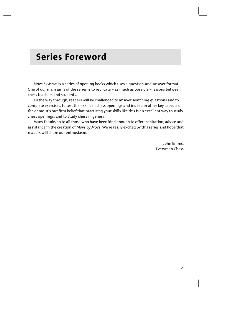# **Series Foreword**

*Move by Move* is a series of opening books which uses a question-and-answer format. One of our main aims of the series is to replicate – as much as possible – lessons between chess teachers and students.

All the way through, readers will be challenged to answer searching questions and to complete exercises, to test their skills in chess openings and indeed in other key aspects of the game. It's our firm belief that practising your skills like this is an excellent way to study chess openings, and to study chess in general.

Many thanks go to all those who have been kind enough to offer inspiration, advice and assistance in the creation of *Move by Move*. We're really excited by this series and hope that readers will share our enthusiasm.

> John Emms, Everyman Chess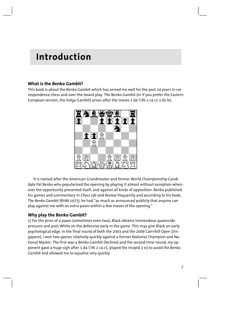# **Introduction**

# **What is the Benko Gambit?**

This book is about the Benko Gambit which has served me well for the past 14 years in correspondence chess and over-the-board play. The Benko Gambit (or if you prefer the Eastern European version, the Volga Gambit) arises after the moves 1 d4  $\triangle$ f6 2 c4 c5 3 d5 b5.



It is named after the American Grandmaster and former World Championship Candidate Pal Benko who popularized the opening by playing it almost without exception whenever the opportunity presented itself, and against all kinds of opposition. Benko published his games and commentary in *Chess Life and Review* frequently and according to his book, *The Benko Gambit* (RHM 1973), he had "as much as announced publicly that anyone can play against me with an extra pawn within a few moves of the opening."

# **Why play the Benko Gambit?**

1) For the price of a pawn (sometimes even two), Black obtains tremendous queenside pressure and puts White on the defensive early in the game. This may give Black an early psychological edge. In the final round of both the 2003 and the 2009 Cairnhill Open (Singapore), I won two games relatively quickly against a former National Champion and National Master. The first was a Benko Gambit Declined and the second time round, my opponent gave a huge sigh after 1 d4  $\triangle$  f6 2 c4 c5, played the insipid 3 e3 to avoid the Benko Gambit and allowed me to equalise very quickly.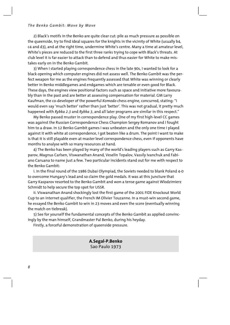#### *The Benko Gambit: Move by Move*

2) Black's motifs in the Benko are quite clear cut: pile as much pressure as possible on the queenside, try to find ideal squares for the knights in the vicinity of White (usually b4, c4 and d3), and at the right time, undermine White's centre. Many a time at amateur level, White's pieces are reduced to the first three ranks trying to cope with Black's threats. At club level it is far easier to attack than to defend and thus easier for White to make mistakes early on in the Benko Gambit.

3) When I started playing correspondence chess in the late 90s, I wanted to look for a black opening which computer engines did not assess well. The Benko Gambit was the perfect weapon for me as the engines frequently assessed that White was winning or clearly better in Benko middlegames and endgames which are tenable or even good for Black. These days, the engines view positional factors such as space and initiative more favourably than in the past and are better at assessing compensation for material. GM Larry Kaufman, the co-developer of the powerful *Komodo* chess engine, concurred, stating: "I would even say 'much better' rather than just 'better'. This was not gradual, it pretty much happened with *Rybka 2.3* and *Rybka 3*, and all later programs are similar in this respect."

My Benko passed muster in correspondence play. One of my first high-level CC games was against the Russian Correspondence Chess Champion Sergey Romanov and I fought him to a draw. In 12 Benko Gambit games I was unbeaten and the only one time I played against it with white at correspondence, I got beaten like a drum. The point I want to make is that it is still playable even at master level correspondence chess, even if opponents have months to analyse with so many resources at hand.

4) The Benko has been played by many of the world's leading players such as Garry Kasparov, Magnus Carlsen, Viswanathan Anand, Veselin Topalov, Vassily Ivanchuk and Fabiano Caruana to name just a few. Two particular incidents stand out for me with respect to the Benko Gambit:

i. In the final round of the 1986 Dubai Olympiad, the Soviets needed to blank Poland 4-0 to overcome Hungary's lead and so claim the gold medals. It was at this juncture that Garry Kasparov resorted to the Benko Gambit and won a tense game against Wlodzimierz Schmidt to help secure the top spot for USSR.

ii. Viswanathan Anand shockingly lost the first game of the 2001 FIDE Knockout World Cup to an internet qualifier, the French IM Olivier Touzanne. In a must-win second game, he essayed the Benko Gambit to win in 23 moves and even the score (eventually winning the match on tiebreak).

5) See for yourself the fundamental concepts of the Benko Gambit as applied convincingly by the man himself, Grandmaster Pal Benko, during his heyday.

Firstly, a forceful demonstration of queenside pressure.

**A.Segal-P.Benko** Sao Paulo 1973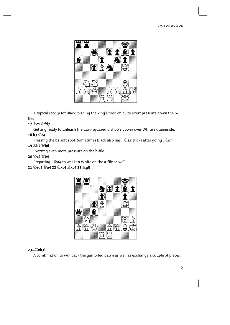

A typical set-up for Black, placing the king's rook on b8 to exert pressure down the bfile.

# 17 gc1 2fd7

Getting ready to unleash the dark-squared bishop's power over White's queenside.

18 h3 2c4

Pressing the b2 soft spot. Sometimes Black also has ... 2a3 tricks after going ... 2c4.

19 曾h2 響b6

Exerting even more pressure on the b-file.

20 2e4 曾b4

Preparing ... Wa4 to weaken White on the a-file as well.

# 21 2ed2 曾a4 22 2xc4 2xc4 23 2g5



# 23... Xb3!

A combination to win back the gambited pawn as well as exchange a couple of pieces.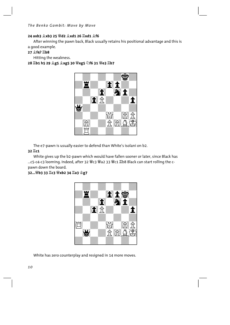The Benko Gambit: Move by Move

# 

After winning the pawn back, Black usually retains his positional advantage and this is a good example.

# 27 *全*f4? 罩b8

Hitting the weakness.

28 国b1 h5 29 皇g5 皇xg5 30 響xg5 公f6 31 響e3 国b7



The e7-pawn is usually easier to defend than White's isolani on b2.

# 32 耳c1

White gives up the b2-pawn which would have fallen sooner or later, since Black has ...c5-c4-c3 looming. Indeed, after 32 뺱c3 뺱a2 33 뺱c1 lb8 Black can start rolling the cpawn down the board.

# 32... 響b3 33 罩c3 響xb2 34 罩a3 雪g7



White has zero counterplay and resigned in 14 more moves.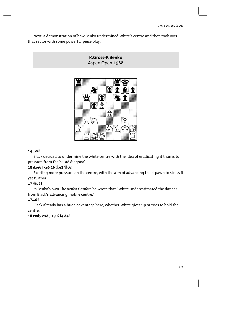Next, a demonstration of how Benko undermined White's centre and then took over that sector with some powerful piece play.

# **R.Gross-P.Benko** Aspen Open 1968



#### **14...e6!**

Black decided to undermine the white centre with the idea of eradicating it thanks to pressure from the h1-a8 diagonal.

# **15 dxe6 fxe6 16 Íe3 Ëc6!**

Exerting more pressure on the centre, with the aim of advancing the d-pawn to stress it yet further.

# **17 Ëd2?**

In Benko's own *The Benko Gambit*, he wrote that "White underestimated the danger from Black's advancing mobile centre."

# **17...d5!**

Black already has a huge advantage here, whether White gives up or tries to hold the centre.

# **18 exd5 exd5 19 Íf4 d4!**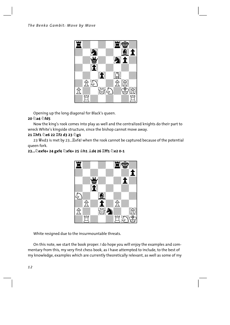

Opening up the long diagonal for Black's queen.

# 20 2a4 2fd5

Now the king's rook comes into play as well and the centralized knights do their part to wreck White's kingside structure, since the bishop cannot move away.

# 21 lhf1 2e6 22 lf2 d3 23 2g1

23 Wxd3 is met by 23... Xxf4! when the rook cannot be captured because of the potential queen fork.

23... 2exf4+ 24 gxf4 2xf4+ 25 \$h1 \$d4 26 lff1 2e2 0-1



White resigned due to the insurmountable threats.

On this note, we start the book proper. I do hope you will enjoy the examples and commentary from this, my very first chess book, as I have attempted to include, to the best of my knowledge, examples which are currently theoretically relevant, as well as some of my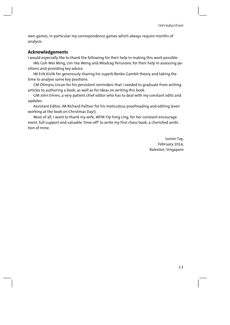own games, in particular my correspondence games which always require months of analysis.

# **Acknowledgements**

I would especially like to thank the following for their help in making this work possible:

IMs Goh Wei Ming, Lim Yee Weng and Miodrag Perunovic for their help in assessing positions and providing key advice.

IM Erik Kislik for generously sharing his superb Benko Gambit theory and taking the time to analyse some key positions.

CM Olimpiu Urcan for his persistent reminders that I needed to graduate from writing articles to authoring a book, as well as for ideas on writing this book.

GM John Emms, a very patient chief editor who has to deal with my constant edits and updates.

Assistant Editor, IM Richard Palliser for his meticulous proofreading and editing (even working at the book on Christmas Day!).

Most of all, I want to thank my wife, WFM Yip Fong Ling, for her constant encouragement, full support and valuable 'time-off' to write my first chess book, a cherished ambition of mine.

> Junior Tay, February 2014, Balestier, Singapore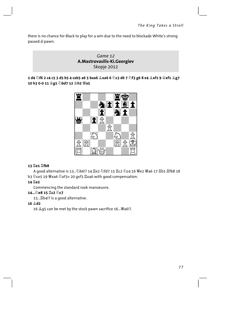there is no chance for Black to play for a win due to the need to blockade White's strong passed d-pawn.

# Game 12 A.Mastrovasilis-Ki.Georgiev Skopje 2012

10 h3 0-0 11 曾g1 2bd7 12 曾h2 豐a5



# 13  $\S$ e1  $\S$ fb8

A good alternative is 13...公b6!? 14 罩e2 公fd7 15 罩c2 公c4 16 響e2 響a6 17 罩b1 罩fb8 18 b3 @ce5 19 Wxa6 @xf3+ 20 qxf3 Xxa6 with good compensation.

# 14 Ie2

Commencing the standard rook manoeuvre.

# 14... 2e8 15 耳c2 2c7

15... ab4!? is a good alternative.

# $16 \triangleq d2$

16  $2q5$  can be met by the stock pawn sacrifice 16... a6!?.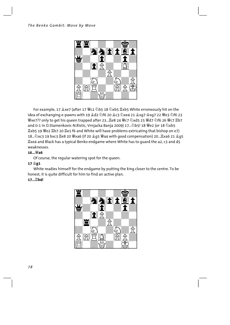

For example, 17  $\&$ xe7 (after 17  $\&$ c1  $\&$ b5 18  $\&$ xb5  $\&$ xb5 White erroneously hit on the idea of exchanging e-pawns with 19 盒d2 公f6 20 盒c3 公xe4 21 盒xg7 含xg7 22 曾e3 公f6 23 and 0-1 in D.Stamenkovic-N.Ristic, Vrnjacka Banja 2009) 17...2b5! 18 曾e2 (or 18 2xb5 置xb5 19 響e2 置b7 20 置e1 f6 and White will have problems extricating that bishop on e7) 18... 2xc3 19 bxc3 里e8 20 曾xa6 (if 20 g g § 曾a4 with good compensation) 20... Exa6 21 g g 5 Exe4 and Black has a typical Benko endgame where White has to quard the a2, c3 and d5 weaknesses.

# $16...$  47

Of course, the regular watering spot for the queen.

#### 17 宫g1

White readies himself for the endgame by putting the king closer to the centre. To be honest, it is quite difficult for him to find an active plan.

# 17... lb4!

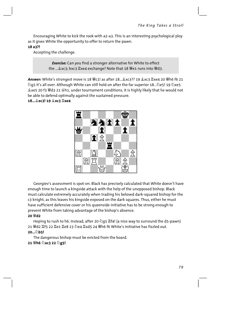Encouraging White to kick the rook with a2-a3. This is an interesting psychological ploy as it gives White the opportunity to offer to return the pawn.

# 18 a3?!

Accepting the challenge.

**Exercise:** Can you find a stronger alternative for White to effect the ... gxc3; bxc3 IIxe4 exchange? Note that 18 We1 runs into Wd3.

Answer: White's strongest move is 18  $\equiv$ c1! as after 18... 2xc3?? 19 2xc3  $\equiv$ xe4 20  $\equiv$ h6 f6 21 ②q5 it's all over. Although White can still hold on after the far superior 18...②e5! 19 ②xe5 ହxe5 20 f3 *Wed3* 21 ⊈h1, under tournament conditions, it is highly likely that he would not be able to defend optimally against the sustained pressure.

# 18... xc3! 19 盒xc3 IXe4



Georgiev's assessment is spot-on. Black has precisely calculated that White doesn't have enough time to launch a kingside attack with the help of the unopposed bishop. Black must calculate extremely accurately when trading his beloved dark-squared bishop for the c3 knight, as this leaves his kingside exposed on the dark squares. Thus, either he must have sufficient defensive cover or his queenside initiative has to be strong enough to prevent White from taking advantage of the bishop's absence.

# 20 營d2

Hoping to rush to h6. Instead, after 20  $\&$  g5  $\mathbb{E}$ f4! (a nice way to surround the d5-pawn) 21 빨d2 뽑f5 22 뿔e1 뿔e8 23 ۞e4 뿔xd5 24 빨h6 f6 White's initiative has fizzled out.  $20...$ 2b5!

The dangerous bishop must be evicted from the board. 21 彎h6 ②xc3 22 ②g5!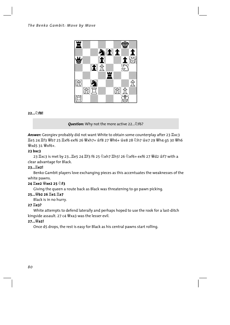

# $22...$  hf8!

Question: Why not the more active 22... 2f6?

Answer: Georgiev probably did not want White to obtain some counterplay after 23  $\mathbb{Z}$ xc3 營xd5 31 營xf6+

# $23$  bxc3

23 耳xc3 is met by 23...罝e5 24 罝f3 f6 25 ⑵xh7 罝h5! 26 ⑵xf6+ exf6 27 曾d2 솔f7 with a clear advantage for Black.

# 23.... Le2!

Benko Gambit players love exchanging pieces as this accentuates the weaknesses of the white pawns.

# 24 Ixe2 營xe2 25 公f3

Giving the queen a route back as Black was threatening to go pawn picking.

#### 25... 響b2 26 Ie1 Ia7

Black is in no hurry.

# 27 Ie3?

White attempts to defend laterally and perhaps hoped to use the rook for a last-ditch kingside assault. 27 c4 Wxa3 was the lesser evil.

# 27…營a2!

Once d5 drops, the rest is easy for Black as his central pawns start rolling.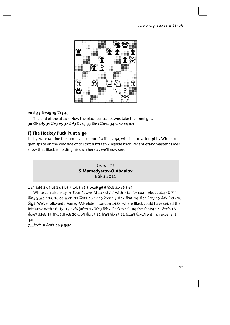

# 28 ②g5 響xd5 29 骂f3 e6

The end of the attack. Now the black central pawns take the limelight. 30 彎h4 f5 31 le3 e5 32 ⑵f3 耳xa3 33 彎e7 耳a1+ 34 솧h2 e4 0-1

# F) The Hockey Puck Punt 9 g4

Lastly, we examine the 'hockey puck punt' with q2-q4, which is an attempt by White to gain space on the kingside or to start a brazen kingside hack. Recent grandmaster games show that Black is holding his own here as we'll now see.

# Game 13 S.Mamedyarov-O.Abdulov Baku 2011

# 1 c4  $\textcircled{1}$ f6 2 d4 c5 3 d5 b5 4 cxb5 a6 5 bxa6 g6 6  $\textcircled{2}$ c3  $\textcircled{2}$ xa6 7 e4

White can also play in 'Four Pawns Attack style' with 7 f4: for example, 7... 2078 \dif3 g21. We've followed J.Murey-M.Hebden, London 1988, where Black could have seized the initiative with 16...f5! 17 exf6 (after 17  $\dddot{\text{w}}$ e3  $\dddot{\text{w}}$ b7 Black is calling the shots) 17... $\ddot{\text{w}}$ xf6 18 빨xe7 lfe8 19 빨xc7 lac8 20 公b5 빨xb5 21 빨a5 빨xa5 22 효xa5 公xd5 with an excellent game.

# 7... kf1 8 \'xf1 d6 9 g4!?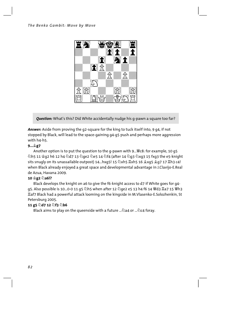

Question: What's this? Did White accidentally nudge his q-pawn a square too far?

Answer: Aside from proving the q2-square for the king to tuck itself into, 9 q4, if not stopped by Black, will lead to the space-gaining q4-q5 push and perhaps more aggression with h4-h5.

# 9... 207

Another option is to put the question to the q-pawn with 9... We8: for example, 10 q5 ④h5 11 @g2 h6 12 h4 ۞d7 13 ۞qe2 ۞e5 14 ۞f4 (after 14 ۞q3 ۞xq3 15 fxq3 the e5-knight sits snugly on its unassailable outpost) 14...hxq5! 15  $\triangle x$ h5  $\triangle x$ h5 16  $\triangle x$ q5  $\triangle q$ 7 17  $\triangle q$ h3 c4! when Black already enjoyed a great space and developmental advantage in J.Clavijo-E.Real de Azua, Havana 2009.

# 10 曾g2 2a6!?

Black develops the knight on a6 to give the f6-knight access to d7 if White goes for g4g5. Also possible is 10...0-0 11 g5 公h5 when after 12 公ge2 e5 13 h4 f6 14 豐d3 置a7 15 豐h3 af7 Black had a powerful attack looming on the kingside in M.Vlasenko-E.Solozhenkin. St Petersburg 2005.

# 11 g5 Ad7 12 Af3 Ab6

Black aims to play on the queenside with a future ... 2a4 or ... 2c4 foray.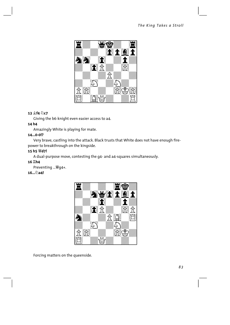

# 13 盒f4 ②c7

Giving the b6-knight even easier access to a4.

# 14 h4

Amazingly White is playing for mate.

# 14...0-0!?

Very brave, castling into the attack. Black trusts that White does not have enough firepower to breakthrough on the kingside.

# 15 h5 Wd7!

A dual-purpose move, contesting the q4- and a4-squares simultaneously.

# 16 Ih4

Preventing ... *彎*g4+.

#### 16…⁄2a4!



Forcing matters on the queenside.